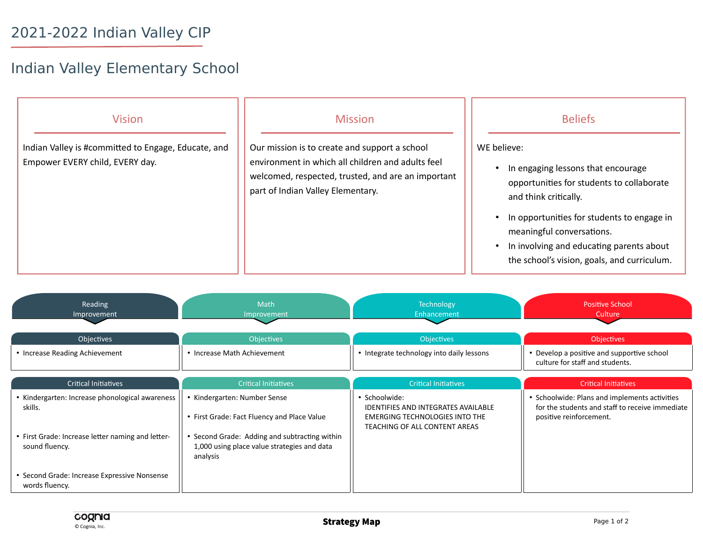## 2021-2022 Indian Valley CIP

## Indian Valley Elementary School

| <b>Vision</b>                                       | <b>Mission</b>                                                                                                                               | <b>Beliefs</b>                                                                                                                                                                                                                                                                 |
|-----------------------------------------------------|----------------------------------------------------------------------------------------------------------------------------------------------|--------------------------------------------------------------------------------------------------------------------------------------------------------------------------------------------------------------------------------------------------------------------------------|
| Indian Valley is #committed to Engage, Educate, and | Our mission is to create and support a school                                                                                                | WE believe:                                                                                                                                                                                                                                                                    |
| Empower EVERY child, EVERY day.                     | environment in which all children and adults feel<br>welcomed, respected, trusted, and are an important<br>part of Indian Valley Elementary. | In engaging lessons that encourage<br>opportunities for students to collaborate<br>and think critically.<br>In opportunities for students to engage in<br>meaningful conversations.<br>In involving and educating parents about<br>the school's vision, goals, and curriculum. |

| Reading<br>Improvement                                                                                                                | <b>Math</b><br>Improvement                                                                               | Technology<br>Enhancement                                                                                                             | <b>Positive School</b><br>Culture                                                                                           |
|---------------------------------------------------------------------------------------------------------------------------------------|----------------------------------------------------------------------------------------------------------|---------------------------------------------------------------------------------------------------------------------------------------|-----------------------------------------------------------------------------------------------------------------------------|
| Objectives                                                                                                                            | <b>Objectives</b>                                                                                        | Objectives                                                                                                                            | <b>Objectives</b>                                                                                                           |
| • Increase Reading Achievement                                                                                                        | • Increase Math Achievement                                                                              | • Integrate technology into daily lessons                                                                                             | • Develop a positive and supportive school<br>culture for staff and students.                                               |
| <b>Critical Initiatives</b>                                                                                                           | <b>Critical Initiatives</b>                                                                              | <b>Critical Initiatives</b>                                                                                                           | <b>Critical Initiatives</b>                                                                                                 |
| • Kindergarten: Increase phonological awareness<br>skills.                                                                            | Kindergarten: Number Sense<br>• First Grade: Fact Fluency and Place Value                                | • Schoolwide:<br><b>IDENTIFIES AND INTEGRATES AVAILABLE</b><br><b>EMERGING TECHNOLOGIES INTO THE</b><br>TEACHING OF ALL CONTENT AREAS | • Schoolwide: Plans and implements activities<br>for the students and staff to receive immediate<br>positive reinforcement. |
| • First Grade: Increase letter naming and letter-<br>sound fluency.<br>• Second Grade: Increase Expressive Nonsense<br>words fluency. | • Second Grade: Adding and subtracting within<br>1,000 using place value strategies and data<br>analysis |                                                                                                                                       |                                                                                                                             |